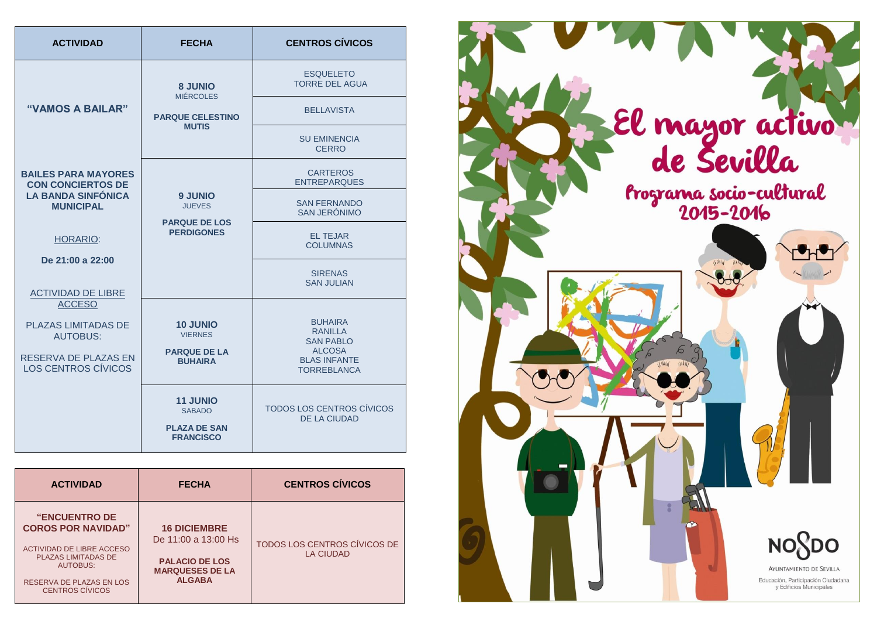| <b>ACTIVIDAD</b>                                                                                              | <b>FECHA</b>                                                                 | <b>CENTROS CÍVICOS</b>                                                                                             |
|---------------------------------------------------------------------------------------------------------------|------------------------------------------------------------------------------|--------------------------------------------------------------------------------------------------------------------|
| "VAMOS A BAILAR"                                                                                              | <b>8 JUNIO</b>                                                               | <b>ESQUELETO</b><br><b>TORRE DEL AGUA</b>                                                                          |
|                                                                                                               | <b>MIÉRCOLES</b><br><b>PARQUE CELESTINO</b><br><b>MUTIS</b>                  | <b>BELLAVISTA</b>                                                                                                  |
|                                                                                                               |                                                                              | SU EMINENCIA<br><b>CERRO</b>                                                                                       |
| <b>BAILES PARA MAYORES</b><br><b>CON CONCIERTOS DE</b>                                                        |                                                                              | <b>CARTEROS</b><br><b>ENTREPARQUES</b>                                                                             |
| <b>LA BANDA SINFÓNICA</b><br><b>MUNICIPAL</b>                                                                 | <b>9 JUNIO</b><br><b>JUEVES</b><br><b>PARQUE DE LOS</b><br><b>PERDIGONES</b> | <b>SAN FERNANDO</b><br>SAN JERÓNIMO                                                                                |
| <b>HORARIO:</b>                                                                                               |                                                                              | <b>EL TEJAR</b><br><b>COLUMNAS</b>                                                                                 |
| De 21:00 a 22:00<br><b>ACTIVIDAD DE LIBRE</b>                                                                 |                                                                              | <b>SIRENAS</b><br><b>SAN JULIAN</b>                                                                                |
| <b>ACCESO</b><br><b>PLAZAS LIMITADAS DE</b><br><b>AUTOBUS:</b><br>RESERVA DE PLAZAS EN<br>LOS CENTROS CÍVICOS | <b>10 JUNIO</b><br><b>VIERNES</b><br><b>PARQUE DE LA</b><br><b>BUHAIRA</b>   | <b>BUHAIRA</b><br><b>RANILLA</b><br><b>SAN PABLO</b><br><b>ALCOSA</b><br><b>BLAS INFANTE</b><br><b>TORREBLANCA</b> |
|                                                                                                               | <b>11 JUNIO</b><br><b>SABADO</b><br><b>PLAZA DE SAN</b><br><b>FRANCISCO</b>  | TODOS LOS CENTROS CÍVICOS<br><b>DE LA CIUDAD</b>                                                                   |

| <b>ACTIVIDAD</b>                                                                                                                                                                      | <b>FECHA</b>                                                                                                   | <b>CENTROS CÍVICOS</b>                           |
|---------------------------------------------------------------------------------------------------------------------------------------------------------------------------------------|----------------------------------------------------------------------------------------------------------------|--------------------------------------------------|
| <b>"ENCUENTRO DE</b><br><b>COROS POR NAVIDAD"</b><br><b>ACTIVIDAD DE LIBRE ACCESO</b><br><b>PLAZAS LIMITADAS DE</b><br>AUTOBUS:<br>RESERVA DE PLAZAS EN LOS<br><b>CENTROS CÍVICOS</b> | <b>16 DICIEMBRE</b><br>De 11:00 a 13:00 Hs<br><b>PALACIO DE LOS</b><br><b>MARQUESES DE LA</b><br><b>ALGABA</b> | TODOS LOS CENTROS CÍVICOS DE<br><b>LA CIUDAD</b> |